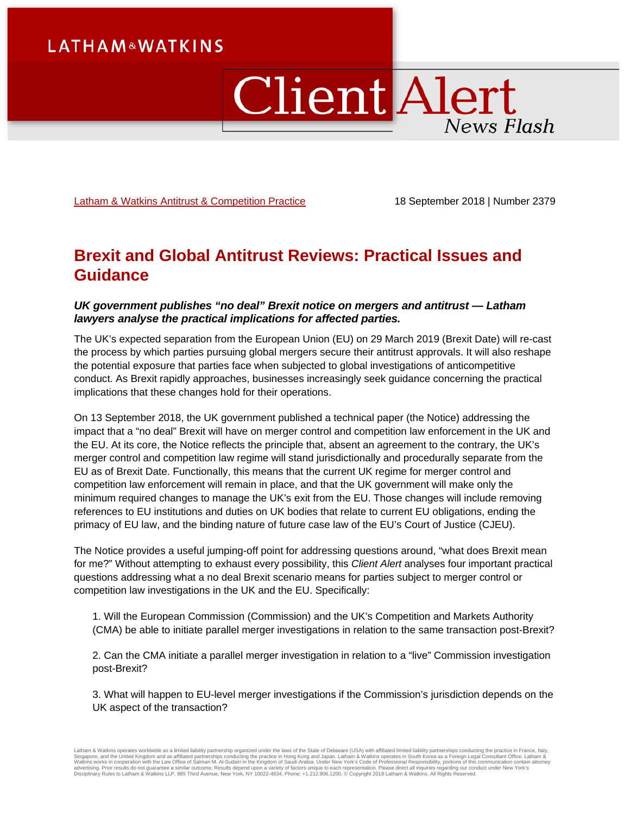## **LATHAM&WATKINS**

# **Client Alert** News Flash

[Latham & Watkins Antitrust & Competition Practice](https://www.lw.com/practices/AntitrustAndCompetition) 18 September 2018 | Number 2379

## **Brexit and Global Antitrust Reviews: Practical Issues and Guidance**

#### *UK government publishes "no deal" Brexit notice on mergers and antitrust — Latham lawyers analyse the practical implications for affected parties.*

The UK's expected separation from the European Union (EU) on 29 March 2019 (Brexit Date) will re-cast the process by which parties pursuing global mergers secure their antitrust approvals. It will also reshape the potential exposure that parties face when subjected to global investigations of anticompetitive conduct. As Brexit rapidly approaches, businesses increasingly seek guidance concerning the practical implications that these changes hold for their operations.

On 13 September 2018, the UK government published a technical paper (the Notice) addressing the impact that a "no deal" Brexit will have on merger control and competition law enforcement in the UK and the EU. At its core, the Notice reflects the principle that, absent an agreement to the contrary, the UK's merger control and competition law regime will stand jurisdictionally and procedurally separate from the EU as of Brexit Date. Functionally, this means that the current UK regime for merger control and competition law enforcement will remain in place, and that the UK government will make only the minimum required changes to manage the UK's exit from the EU. Those changes will include removing references to EU institutions and duties on UK bodies that relate to current EU obligations, ending the primacy of EU law, and the binding nature of future case law of the EU's Court of Justice (CJEU).

The Notice provides a useful jumping-off point for addressing questions around, "what does Brexit mean for me?" Without attempting to exhaust every possibility, this *Client Alert* analyses four important practical questions addressing what a no deal Brexit scenario means for parties subject to merger control or competition law investigations in the UK and the EU. Specifically:

1. Will the European Commission (Commission) and the UK's Competition and Markets Authority (CMA) be able to initiate parallel merger investigations in relation to the same transaction post-Brexit?

2. Can the CMA initiate a parallel merger investigation in relation to a "live" Commission investigation post-Brexit?

3. What will happen to EU-level merger investigations if the Commission's jurisdiction depends on the UK aspect of the transaction?

Latham & Watkins operates worldwide as a limited liability partnership organized under the laws of the State of Delaware (USA) with affiliated limited liability partnerships conducting the practice in France, Italy Singapore, and the United Kingdom and as affiliated partnerships conducting the practice in Hong Kong and Japan. Latham & Watkins operates in South Korea as a Foreign Legal Consultant Office. Latham &<br>Watkins works in coop Disciplinary Rules to Latham & Watkins LLP, 885 Third Avenue, New York, NY 10022-4834, Phone: +1.212.906.1200. © Copyright 2018 Latham & Watkins. All Rights Reserved.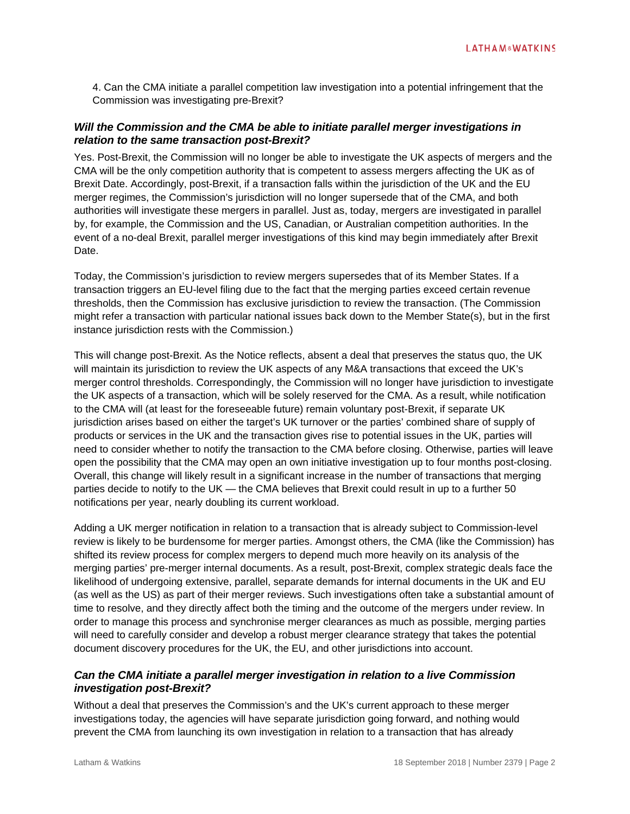4. Can the CMA initiate a parallel competition law investigation into a potential infringement that the Commission was investigating pre-Brexit?

#### *Will the Commission and the CMA be able to initiate parallel merger investigations in relation to the same transaction post-Brexit?*

Yes. Post-Brexit, the Commission will no longer be able to investigate the UK aspects of mergers and the CMA will be the only competition authority that is competent to assess mergers affecting the UK as of Brexit Date. Accordingly, post-Brexit, if a transaction falls within the jurisdiction of the UK and the EU merger regimes, the Commission's jurisdiction will no longer supersede that of the CMA, and both authorities will investigate these mergers in parallel. Just as, today, mergers are investigated in parallel by, for example, the Commission and the US, Canadian, or Australian competition authorities. In the event of a no-deal Brexit, parallel merger investigations of this kind may begin immediately after Brexit Date.

Today, the Commission's jurisdiction to review mergers supersedes that of its Member States. If a transaction triggers an EU-level filing due to the fact that the merging parties exceed certain revenue thresholds, then the Commission has exclusive jurisdiction to review the transaction. (The Commission might refer a transaction with particular national issues back down to the Member State(s), but in the first instance jurisdiction rests with the Commission.)

This will change post-Brexit. As the Notice reflects, absent a deal that preserves the status quo, the UK will maintain its jurisdiction to review the UK aspects of any M&A transactions that exceed the UK's merger control thresholds. Correspondingly, the Commission will no longer have jurisdiction to investigate the UK aspects of a transaction, which will be solely reserved for the CMA. As a result, while notification to the CMA will (at least for the foreseeable future) remain voluntary post-Brexit, if separate UK jurisdiction arises based on either the target's UK turnover or the parties' combined share of supply of products or services in the UK and the transaction gives rise to potential issues in the UK, parties will need to consider whether to notify the transaction to the CMA before closing. Otherwise, parties will leave open the possibility that the CMA may open an own initiative investigation up to four months post-closing. Overall, this change will likely result in a significant increase in the number of transactions that merging parties decide to notify to the UK — the CMA believes that Brexit could result in up to a further 50 notifications per year, nearly doubling its current workload.

Adding a UK merger notification in relation to a transaction that is already subject to Commission-level review is likely to be burdensome for merger parties. Amongst others, the CMA (like the Commission) has shifted its review process for complex mergers to depend much more heavily on its analysis of the merging parties' pre-merger internal documents. As a result, post-Brexit, complex strategic deals face the likelihood of undergoing extensive, parallel, separate demands for internal documents in the UK and EU (as well as the US) as part of their merger reviews. Such investigations often take a substantial amount of time to resolve, and they directly affect both the timing and the outcome of the mergers under review. In order to manage this process and synchronise merger clearances as much as possible, merging parties will need to carefully consider and develop a robust merger clearance strategy that takes the potential document discovery procedures for the UK, the EU, and other jurisdictions into account.

#### *Can the CMA initiate a parallel merger investigation in relation to a live Commission investigation post-Brexit?*

Without a deal that preserves the Commission's and the UK's current approach to these merger investigations today, the agencies will have separate jurisdiction going forward, and nothing would prevent the CMA from launching its own investigation in relation to a transaction that has already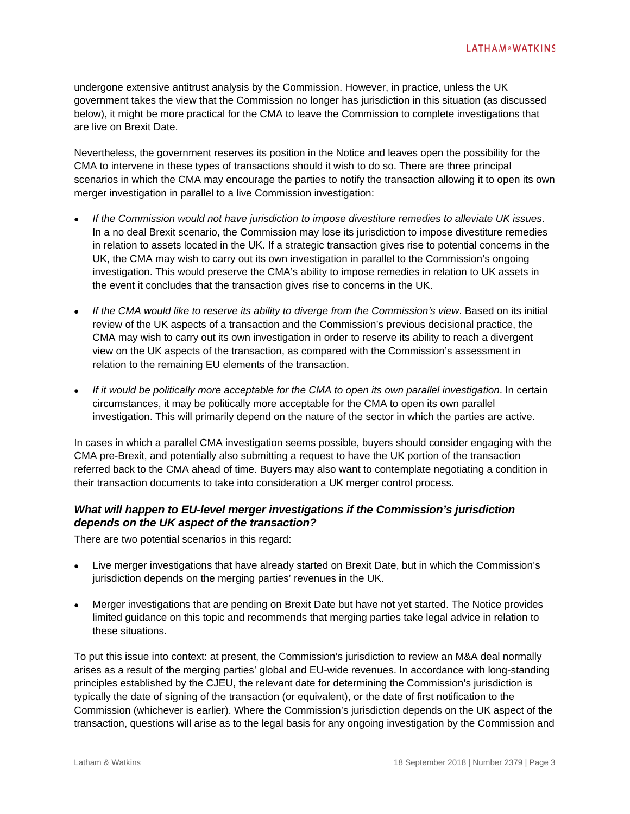undergone extensive antitrust analysis by the Commission. However, in practice, unless the UK government takes the view that the Commission no longer has jurisdiction in this situation (as discussed below), it might be more practical for the CMA to leave the Commission to complete investigations that are live on Brexit Date.

Nevertheless, the government reserves its position in the Notice and leaves open the possibility for the CMA to intervene in these types of transactions should it wish to do so. There are three principal scenarios in which the CMA may encourage the parties to notify the transaction allowing it to open its own merger investigation in parallel to a live Commission investigation:

- *If the Commission would not have jurisdiction to impose divestiture remedies to alleviate UK issues*. In a no deal Brexit scenario, the Commission may lose its jurisdiction to impose divestiture remedies in relation to assets located in the UK. If a strategic transaction gives rise to potential concerns in the UK, the CMA may wish to carry out its own investigation in parallel to the Commission's ongoing investigation. This would preserve the CMA's ability to impose remedies in relation to UK assets in the event it concludes that the transaction gives rise to concerns in the UK.
- *If the CMA would like to reserve its ability to diverge from the Commission's view*. Based on its initial review of the UK aspects of a transaction and the Commission's previous decisional practice, the CMA may wish to carry out its own investigation in order to reserve its ability to reach a divergent view on the UK aspects of the transaction, as compared with the Commission's assessment in relation to the remaining EU elements of the transaction.
- *If it would be politically more acceptable for the CMA to open its own parallel investigation*. In certain circumstances, it may be politically more acceptable for the CMA to open its own parallel investigation. This will primarily depend on the nature of the sector in which the parties are active.

In cases in which a parallel CMA investigation seems possible, buyers should consider engaging with the CMA pre-Brexit, and potentially also submitting a request to have the UK portion of the transaction referred back to the CMA ahead of time. Buyers may also want to contemplate negotiating a condition in their transaction documents to take into consideration a UK merger control process.

#### *What will happen to EU-level merger investigations if the Commission's jurisdiction depends on the UK aspect of the transaction?*

There are two potential scenarios in this regard:

- Live merger investigations that have already started on Brexit Date, but in which the Commission's jurisdiction depends on the merging parties' revenues in the UK.
- Merger investigations that are pending on Brexit Date but have not yet started. The Notice provides limited guidance on this topic and recommends that merging parties take legal advice in relation to these situations.

To put this issue into context: at present, the Commission's jurisdiction to review an M&A deal normally arises as a result of the merging parties' global and EU-wide revenues. In accordance with long-standing principles established by the CJEU, the relevant date for determining the Commission's jurisdiction is typically the date of signing of the transaction (or equivalent), or the date of first notification to the Commission (whichever is earlier). Where the Commission's jurisdiction depends on the UK aspect of the transaction, questions will arise as to the legal basis for any ongoing investigation by the Commission and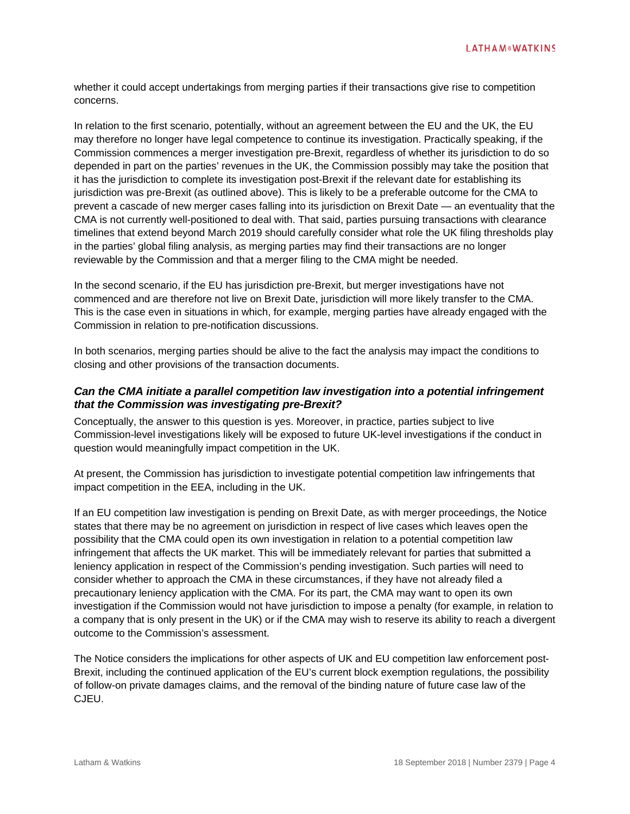whether it could accept undertakings from merging parties if their transactions give rise to competition concerns.

In relation to the first scenario, potentially, without an agreement between the EU and the UK, the EU may therefore no longer have legal competence to continue its investigation. Practically speaking, if the Commission commences a merger investigation pre-Brexit, regardless of whether its jurisdiction to do so depended in part on the parties' revenues in the UK, the Commission possibly may take the position that it has the jurisdiction to complete its investigation post-Brexit if the relevant date for establishing its jurisdiction was pre-Brexit (as outlined above). This is likely to be a preferable outcome for the CMA to prevent a cascade of new merger cases falling into its jurisdiction on Brexit Date — an eventuality that the CMA is not currently well-positioned to deal with. That said, parties pursuing transactions with clearance timelines that extend beyond March 2019 should carefully consider what role the UK filing thresholds play in the parties' global filing analysis, as merging parties may find their transactions are no longer reviewable by the Commission and that a merger filing to the CMA might be needed.

In the second scenario, if the EU has jurisdiction pre-Brexit, but merger investigations have not commenced and are therefore not live on Brexit Date, jurisdiction will more likely transfer to the CMA. This is the case even in situations in which, for example, merging parties have already engaged with the Commission in relation to pre-notification discussions.

In both scenarios, merging parties should be alive to the fact the analysis may impact the conditions to closing and other provisions of the transaction documents.

#### *Can the CMA initiate a parallel competition law investigation into a potential infringement that the Commission was investigating pre-Brexit?*

Conceptually, the answer to this question is yes. Moreover, in practice, parties subject to live Commission-level investigations likely will be exposed to future UK-level investigations if the conduct in question would meaningfully impact competition in the UK.

At present, the Commission has jurisdiction to investigate potential competition law infringements that impact competition in the EEA, including in the UK.

If an EU competition law investigation is pending on Brexit Date, as with merger proceedings, the Notice states that there may be no agreement on jurisdiction in respect of live cases which leaves open the possibility that the CMA could open its own investigation in relation to a potential competition law infringement that affects the UK market. This will be immediately relevant for parties that submitted a leniency application in respect of the Commission's pending investigation. Such parties will need to consider whether to approach the CMA in these circumstances, if they have not already filed a precautionary leniency application with the CMA. For its part, the CMA may want to open its own investigation if the Commission would not have jurisdiction to impose a penalty (for example, in relation to a company that is only present in the UK) or if the CMA may wish to reserve its ability to reach a divergent outcome to the Commission's assessment.

The Notice considers the implications for other aspects of UK and EU competition law enforcement post-Brexit, including the continued application of the EU's current block exemption regulations, the possibility of follow-on private damages claims, and the removal of the binding nature of future case law of the CJEU.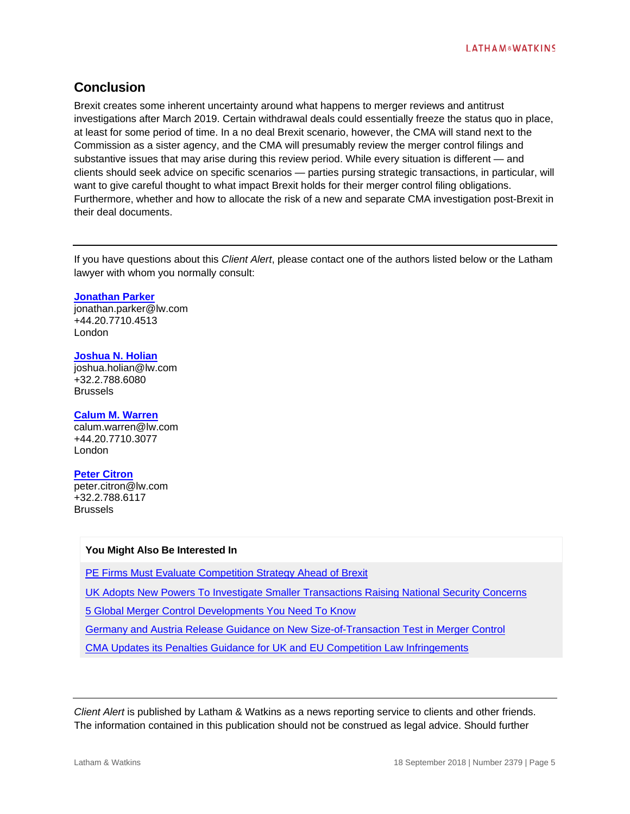### **Conclusion**

Brexit creates some inherent uncertainty around what happens to merger reviews and antitrust investigations after March 2019. Certain withdrawal deals could essentially freeze the status quo in place, at least for some period of time. In a no deal Brexit scenario, however, the CMA will stand next to the Commission as a sister agency, and the CMA will presumably review the merger control filings and substantive issues that may arise during this review period. While every situation is different — and clients should seek advice on specific scenarios — parties pursing strategic transactions, in particular, will want to give careful thought to what impact Brexit holds for their merger control filing obligations. Furthermore, whether and how to allocate the risk of a new and separate CMA investigation post-Brexit in their deal documents.

If you have questions about this *Client Alert*, please contact one of the authors listed below or the Latham lawyer with whom you normally consult:

#### **[Jonathan Parker](https://www.lw.com/people/jonathan-parker)**

[jonathan.parker@lw.com](mailto:jonathan.parker@lw.com) +44.20.7710.4513 London

#### **[Joshua N. Holian](https://www.lw.com/people/joshua-holian)**

[joshua.holian@lw.com](mailto:joshua.holian@lw.com) +32.2.788.6080 Brussels

#### **[Calum M. Warren](https://www.lw.com/people/calum-warren)**

[calum.warren@lw.com](mailto:calum.warren@lw.com) +44.20.7710.3077 London

#### **[Peter Citron](https://www.lw.com/people/peter-citron)**

[peter.citron@lw.com](mailto:peter.citron@lw.com)  $+32.2.788.6117$ **Brussels** 

#### **You Might Also Be Interested In**

[PE Firms Must Evaluate Competition Strategy Ahead of Brexit](https://www.latham.london/2018/09/pe-firms-must-evaluate-competition-strategy-ahead-of-brexit/)

[UK Adopts New Powers To Investigate Smaller Transactions Raising National Security Concerns](https://www.lw.com/thoughtLeadership/lw-uk-adopts-new-powers-to-investigate-smaller-transcations-raising-national-security-concerns)

[5 Global Merger Control Developments You Need To Know](https://www.lw.com/thoughtLeadership/five-global-merger-control-developments-you-need-to-know-midyear-2018)

[Germany and Austria Release Guidance on New Size-of-Transaction Test in Merger Control](https://www.lw.com/thoughtLeadership/lw-germany-austria-release-guidance-on-new-size-of-transaction-test-in-merger-control)

[CMA Updates its Penalties Guidance for UK and EU Competition Law Infringements](https://www.latham.london/2017/08/cma-updates-its-penalties-guidance-for-uk-and-eu-competition-law-infringements/)

*Client Alert* is published by Latham & Watkins as a news reporting service to clients and other friends. The information contained in this publication should not be construed as legal advice. Should further